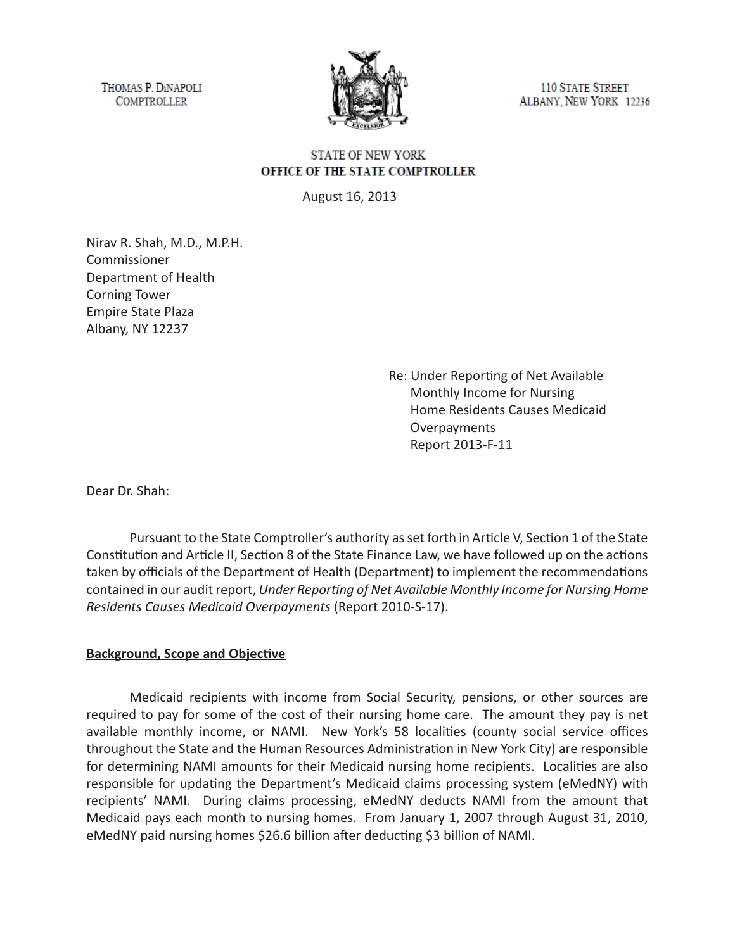THOMAS P. DINAPOLI **COMPTROLLER** 



**110 STATE STREET** ALBANY, NEW YORK 12236

### **STATE OF NEW YORK** OFFICE OF THE STATE COMPTROLLER

August 16, 2013

Nirav R. Shah, M.D., M.P.H. Commissioner Department of Health Corning Tower Empire State Plaza Albany, NY 12237

> Re: Under Reporting of Net Available Monthly Income for Nursing Home Residents Causes Medicaid **Overpayments** Report 2013-F-11

Dear Dr. Shah:

Pursuant to the State Comptroller's authority as set forth in Article V, Section 1 of the State Constitution and Article II, Section 8 of the State Finance Law, we have followed up on the actions taken by officials of the Department of Health (Department) to implement the recommendations contained in our audit report, *Under Reporting of Net Available Monthly Income for Nursing Home Residents Causes Medicaid Overpayments* (Report 2010-S-17).

#### **Background, Scope and Objective**

Medicaid recipients with income from Social Security, pensions, or other sources are required to pay for some of the cost of their nursing home care. The amount they pay is net available monthly income, or NAMI. New York's 58 localities (county social service offices throughout the State and the Human Resources Administration in New York City) are responsible for determining NAMI amounts for their Medicaid nursing home recipients. Localities are also responsible for updating the Department's Medicaid claims processing system (eMedNY) with recipients' NAMI. During claims processing, eMedNY deducts NAMI from the amount that Medicaid pays each month to nursing homes. From January 1, 2007 through August 31, 2010, eMedNY paid nursing homes \$26.6 billion after deducting \$3 billion of NAMI.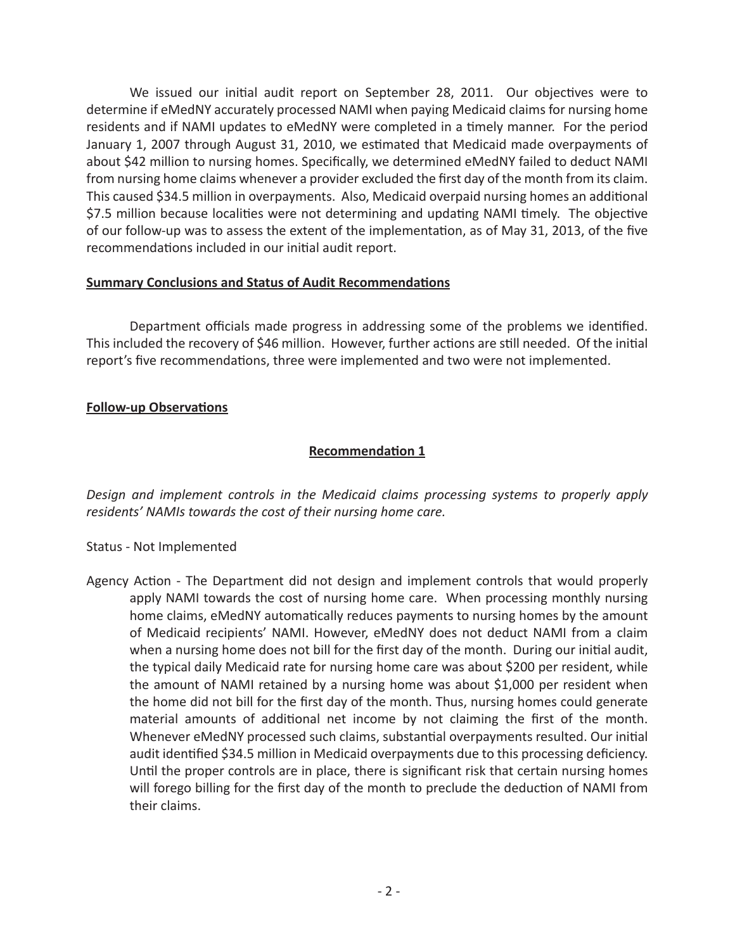We issued our initial audit report on September 28, 2011. Our objectives were to determine if eMedNY accurately processed NAMI when paying Medicaid claims for nursing home residents and if NAMI updates to eMedNY were completed in a timely manner. For the period January 1, 2007 through August 31, 2010, we estimated that Medicaid made overpayments of about \$42 million to nursing homes. Specifically, we determined eMedNY failed to deduct NAMI from nursing home claims whenever a provider excluded the first day of the month from its claim. This caused \$34.5 million in overpayments. Also, Medicaid overpaid nursing homes an additional \$7.5 million because localities were not determining and updating NAMI timely. The objective of our follow-up was to assess the extent of the implementation, as of May 31, 2013, of the five recommendations included in our initial audit report.

#### **Summary Conclusions and Status of Audit Recommendations**

Department officials made progress in addressing some of the problems we identified. This included the recovery of \$46 million. However, further actions are still needed. Of the initial report's five recommendations, three were implemented and two were not implemented.

#### **Follow-up Observations**

### **Recommendation 1**

*Design and implement controls in the Medicaid claims processing systems to properly apply residents' NAMIs towards the cost of their nursing home care.*

# Status - Not Implemented

Agency Action - The Department did not design and implement controls that would properly apply NAMI towards the cost of nursing home care. When processing monthly nursing home claims, eMedNY automatically reduces payments to nursing homes by the amount of Medicaid recipients' NAMI. However, eMedNY does not deduct NAMI from a claim when a nursing home does not bill for the first day of the month. During our initial audit, the typical daily Medicaid rate for nursing home care was about \$200 per resident, while the amount of NAMI retained by a nursing home was about \$1,000 per resident when the home did not bill for the first day of the month. Thus, nursing homes could generate material amounts of additional net income by not claiming the first of the month. Whenever eMedNY processed such claims, substantial overpayments resulted. Our initial audit identified \$34.5 million in Medicaid overpayments due to this processing deficiency. Until the proper controls are in place, there is significant risk that certain nursing homes will forego billing for the first day of the month to preclude the deduction of NAMI from their claims.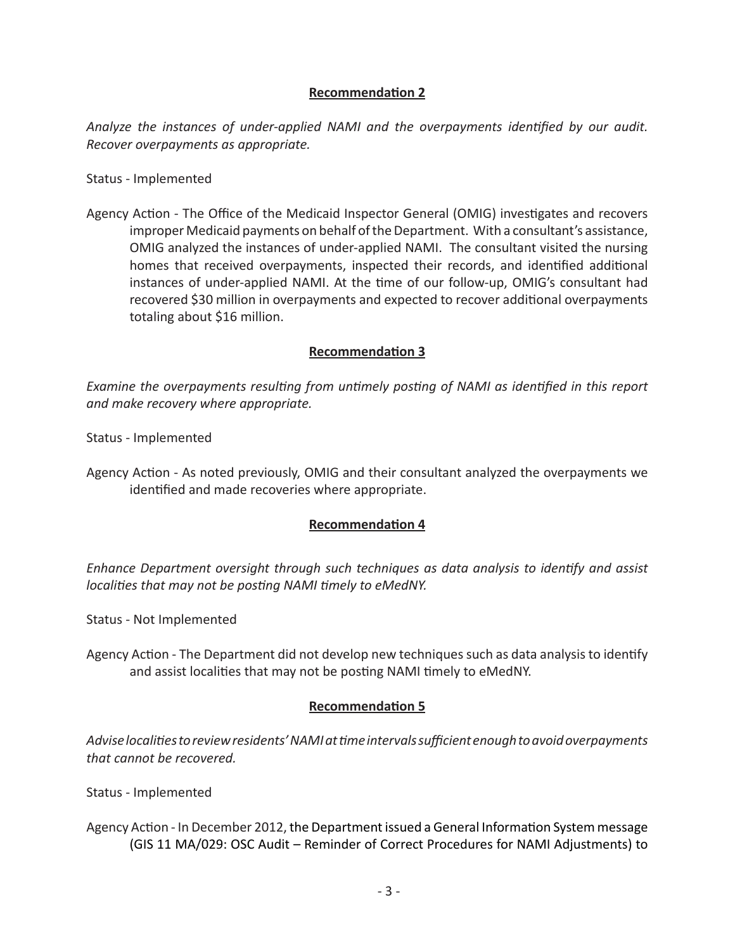# **Recommendation 2**

*Analyze the instances of under-applied NAMI and the overpayments identified by our audit. Recover overpayments as appropriate.* 

Status - Implemented

Agency Action - The Office of the Medicaid Inspector General (OMIG) investigates and recovers improper Medicaid payments on behalf of the Department. With a consultant's assistance, OMIG analyzed the instances of under-applied NAMI. The consultant visited the nursing homes that received overpayments, inspected their records, and identified additional instances of under-applied NAMI. At the time of our follow-up, OMIG's consultant had recovered \$30 million in overpayments and expected to recover additional overpayments totaling about \$16 million.

### **Recommendation 3**

*Examine the overpayments resulting from untimely posting of NAMI as identified in this report and make recovery where appropriate.*

Status - Implemented

Agency Action - As noted previously, OMIG and their consultant analyzed the overpayments we identified and made recoveries where appropriate.

# **Recommendation 4**

*Enhance Department oversight through such techniques as data analysis to identify and assist localities that may not be posting NAMI timely to eMedNY.*

Status - Not Implemented

Agency Action - The Department did not develop new techniques such as data analysis to identify and assist localities that may not be posting NAMI timely to eMedNY.

# **Recommendation 5**

*Advise localities to review residents' NAMI at time intervals sufficient enough to avoid overpayments that cannot be recovered.*

Status - Implemented

Agency Action - In December 2012, the Department issued a General Information System message (GIS 11 MA/029: OSC Audit – Reminder of Correct Procedures for NAMI Adjustments) to